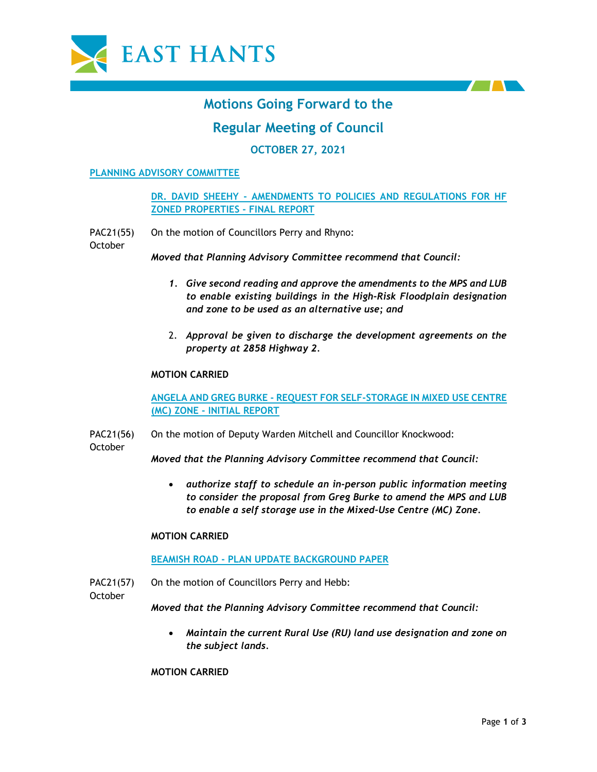



# **Motions Going Forward to the**

# **Regular Meeting of Council**

## **OCTOBER 27, 2021**

#### **PLANNING ADVISORY COMMITTEE**

**DR. DAVID SHEEHY - AMENDMENTS TO POLICIES AND REGULATIONS FOR HF ZONED PROPERTIES - FINAL REPORT**

PAC21(55) On the motion of Councillors Perry and Rhyno:

October

*Moved that Planning Advisory Committee recommend that Council:*

- *1. Give second reading and approve the amendments to the MPS and LUB to enable existing buildings in the High-Risk Floodplain designation and zone to be used as an alternative use; and*
- 2. *Approval be given to discharge the development agreements on the property at 2858 Highway 2.*

#### **MOTION CARRIED**

**ANGELA AND GREG BURKE - REQUEST FOR SELF-STORAGE IN MIXED USE CENTRE (MC) ZONE - INITIAL REPORT**

PAC21(56) On the motion of Deputy Warden Mitchell and Councillor Knockwood:

October

*Moved that the Planning Advisory Committee recommend that Council:*

• *authorize staff to schedule an in-person public information meeting to consider the proposal from Greg Burke to amend the MPS and LUB to enable a self storage use in the Mixed-Use Centre (MC) Zone.*

#### **MOTION CARRIED**

#### **BEAMISH ROAD - PLAN UPDATE BACKGROUND PAPER**

PAC21(57) On the motion of Councillors Perry and Hebb:

October

*Moved that the Planning Advisory Committee recommend that Council:*

• *Maintain the current Rural Use (RU) land use designation and zone on the subject lands.* 

**MOTION CARRIED**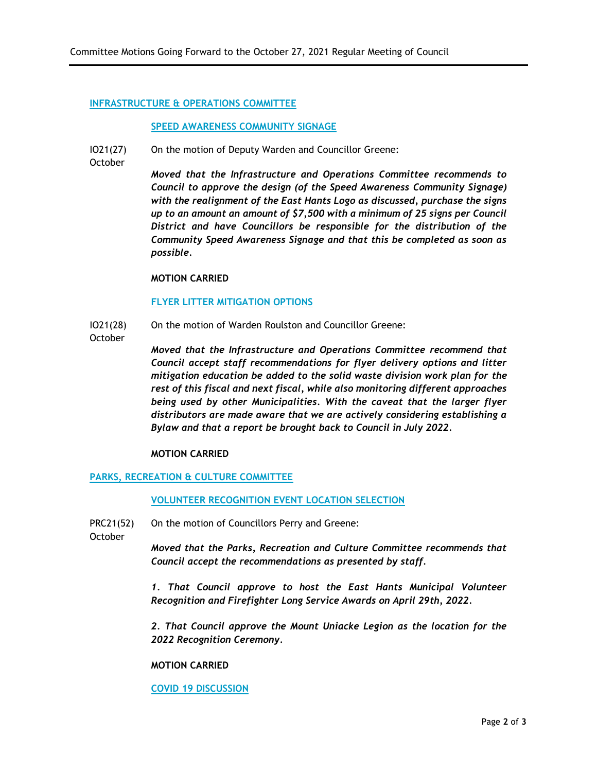#### **INFRASTRUCTURE & OPERATIONS COMMITTEE**

#### **SPEED AWARENESS COMMUNITY SIGNAGE**

IO21(27) On the motion of Deputy Warden and Councillor Greene:

**October** 

*Moved that the Infrastructure and Operations Committee recommends to Council to approve the design (of the Speed Awareness Community Signage) with the realignment of the East Hants Logo as discussed, purchase the signs up to an amount an amount of \$7,500 with a minimum of 25 signs per Council District and have Councillors be responsible for the distribution of the Community Speed Awareness Signage and that this be completed as soon as possible.*

#### **MOTION CARRIED**

#### **FLYER LITTER MITIGATION OPTIONS**

IO21(28) On the motion of Warden Roulston and Councillor Greene:

**October** 

*Moved that the Infrastructure and Operations Committee recommend that Council accept staff recommendations for flyer delivery options and litter mitigation education be added to the solid waste division work plan for the rest of this fiscal and next fiscal, while also monitoring different approaches being used by other Municipalities. With the caveat that the larger flyer distributors are made aware that we are actively considering establishing a Bylaw and that a report be brought back to Council in July 2022.*

#### **MOTION CARRIED**

### **PARKS, RECREATION & CULTURE COMMITTEE**

#### **VOLUNTEER RECOGNITION EVENT LOCATION SELECTION**

PRC21(52) On the motion of Councillors Perry and Greene:

October

*Moved that the Parks, Recreation and Culture Committee recommends that Council accept the recommendations as presented by staff.*

*1. That Council approve to host the East Hants Municipal Volunteer Recognition and Firefighter Long Service Awards on April 29th, 2022.*

*2. That Council approve the Mount Uniacke Legion as the location for the 2022 Recognition Ceremony.*

#### **MOTION CARRIED**

**COVID 19 DISCUSSION**